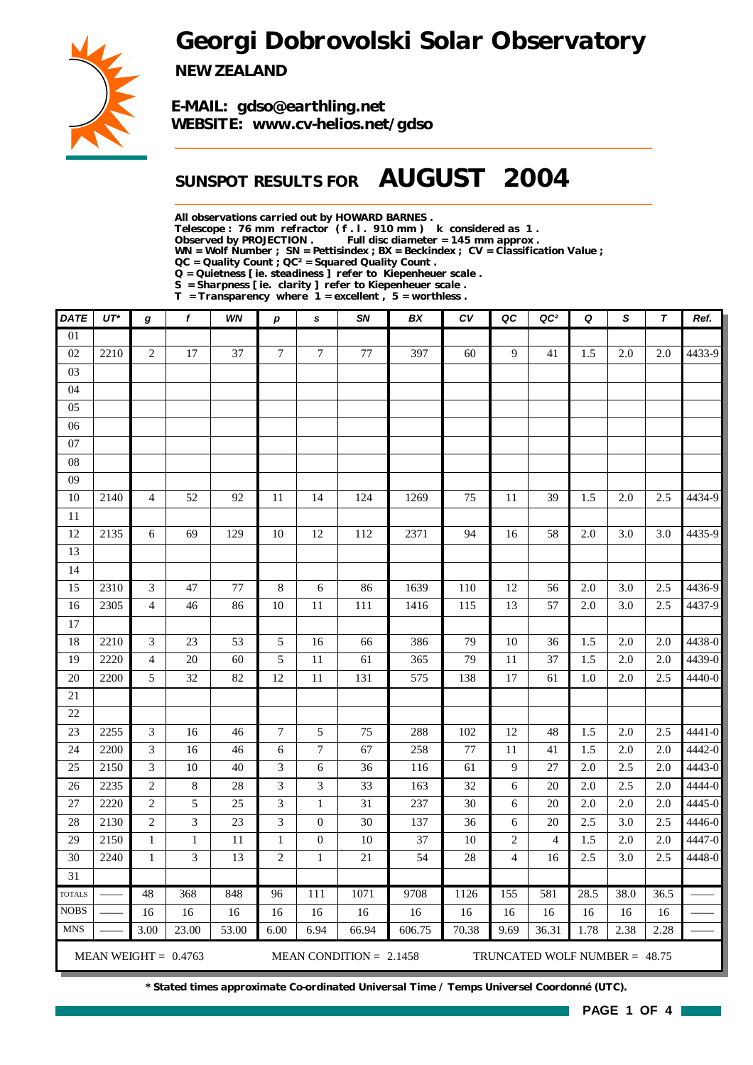*Georgi Dobrovolski Solar Observatory*



*NEW ZEALAND*

*E-MAIL: gdso@earthling.net WEBSITE: www.cv-helios.net/gdso*

## *SUNSPOT RESULTS FOR AUGUST 2004*

*All observations carried out by HOWARD BARNES .*

*Telescope : 76 mm refractor ( f . l . 910 mm ) k considered as 1 .*

Full disc diameter = 145 mm approx .

*WN = Wolf Number ; SN = Pettisindex ; BX = Beckindex ; CV = Classification Value ;*

*QC = Quality Count ; QC² = Squared Quality Count .*

*Q = Quietness [ ie. steadiness ] refer to Kiepenheuer scale .*

*S = Sharpness [ ie. clarity ] refer to Kiepenheuer scale .*

*T = Transparency where 1 = excellent , 5 = worthless .*

| <b>DATE</b>     | $UT^{\star}$ | g                        | f                      | WN    | p                           | s                | SN                        | BX     | CV     | QC             | QC <sup>2</sup>                 | Q    | S       | T    | Ref.   |
|-----------------|--------------|--------------------------|------------------------|-------|-----------------------------|------------------|---------------------------|--------|--------|----------------|---------------------------------|------|---------|------|--------|
| $\overline{01}$ |              |                          |                        |       |                             |                  |                           |        |        |                |                                 |      |         |      |        |
| 02              | 2210         | $\overline{c}$           | 17                     | 37    | $\overline{7}$              | $\boldsymbol{7}$ | 77                        | 397    | 60     | 9              | 41                              | 1.5  | 2.0     | 2.0  | 4433-9 |
| 03              |              |                          |                        |       |                             |                  |                           |        |        |                |                                 |      |         |      |        |
| 04              |              |                          |                        |       |                             |                  |                           |        |        |                |                                 |      |         |      |        |
| 05              |              |                          |                        |       |                             |                  |                           |        |        |                |                                 |      |         |      |        |
| 06              |              |                          |                        |       |                             |                  |                           |        |        |                |                                 |      |         |      |        |
| 07              |              |                          |                        |       |                             |                  |                           |        |        |                |                                 |      |         |      |        |
| ${\bf 08}$      |              |                          |                        |       |                             |                  |                           |        |        |                |                                 |      |         |      |        |
| 09              |              |                          |                        |       |                             |                  |                           |        |        |                |                                 |      |         |      |        |
| 10              | 2140         | $\overline{\mathcal{A}}$ | 52                     | 92    | 11                          | 14               | 124                       | 1269   | 75     | 11             | 39                              | 1.5  | 2.0     | 2.5  | 4434-9 |
| 11              |              |                          |                        |       |                             |                  |                           |        |        |                |                                 |      |         |      |        |
| 12              | 2135         | 6                        | 69                     | 129   | 10                          | 12               | 112                       | 2371   | 94     | 16             | 58                              | 2.0  | 3.0     | 3.0  | 4435-9 |
| 13              |              |                          |                        |       |                             |                  |                           |        |        |                |                                 |      |         |      |        |
| 14              |              |                          |                        |       |                             |                  |                           |        |        |                |                                 |      |         |      |        |
| 15              | 2310         | 3                        | 47                     | 77    | $\,8\,$                     | 6                | 86                        | 1639   | 110    | 12             | 56                              | 2.0  | 3.0     | 2.5  | 4436-9 |
| 16              | 2305         | $\overline{\mathbf{4}}$  | 46                     | 86    | 10                          | 11               | 111                       | 1416   | 115    | 13             | 57                              | 2.0  | 3.0     | 2.5  | 4437-9 |
| 17              |              |                          |                        |       |                             |                  |                           |        |        |                |                                 |      |         |      |        |
| 18              | 2210         | $\mathfrak{Z}$           | 23                     | 53    | 5                           | 16               | 66                        | 386    | 79     | 10             | 36                              | 1.5  | 2.0     | 2.0  | 4438-0 |
| 19              | 2220         | $\overline{\mathbf{4}}$  | $20\,$                 | 60    | 5                           | $11\,$           | 61                        | 365    | 79     | 11             | 37                              | 1.5  | 2.0     | 2.0  | 4439-0 |
| 20              | 2200         | 5                        | 32                     | 82    | 12                          | $11\,$           | 131                       | 575    | 138    | 17             | 61                              | 1.0  | 2.0     | 2.5  | 4440-0 |
| $21\,$          |              |                          |                        |       |                             |                  |                           |        |        |                |                                 |      |         |      |        |
| 22              |              |                          |                        |       |                             |                  |                           |        |        |                |                                 |      |         |      |        |
| 23              | 2255         | $\mathfrak{Z}$           | 16                     | 46    | $\boldsymbol{7}$            | 5                | 75                        | 288    | 102    | 12             | 48                              | 1.5  | $2.0\,$ | 2.5  | 4441-0 |
| 24              | 2200         | 3                        | 16                     | 46    | 6                           | $\boldsymbol{7}$ | 67                        | 258    | 77     | 11             | 41                              | 1.5  | 2.0     | 2.0  | 4442-0 |
| 25              | 2150         | 3                        | 10                     | 40    | $\ensuremath{\mathfrak{Z}}$ | 6                | 36                        | 116    | 61     | 9              | 27                              | 2.0  | 2.5     | 2.0  | 4443-0 |
| 26              | 2235         | $\overline{c}$           | $\,8\,$                | 28    | 3                           | 3                | 33                        | 163    | 32     | 6              | 20                              | 2.0  | 2.5     | 2.0  | 4444-0 |
| 27              | 2220         | $\boldsymbol{2}$         | 5                      | 25    | 3                           | $\mathbf{1}$     | 31                        | 237    | 30     | 6              | 20                              | 2.0  | 2.0     | 2.0  | 4445-0 |
| 28              | 2130         | $\sqrt{2}$               | 3                      | 23    | 3                           | $\boldsymbol{0}$ | 30                        | 137    | 36     | 6              | 20                              | 2.5  | 3.0     | 2.5  | 4446-0 |
| 29              | 2150         | $\mathbf 1$              | $\mathbf{1}$           | 11    | $\,1$                       | $\boldsymbol{0}$ | $10\,$                    | 37     | $10\,$ | $\overline{c}$ | $\overline{4}$                  | 1.5  | 2.0     | 2.0  | 4447-0 |
| 30              | 2240         | $\,1$                    | 3                      | 13    | $\sqrt{2}$                  | $\mathbf{1}$     | $21\,$                    | 54     | 28     | $\overline{4}$ | 16                              | 2.5  | 3.0     | 2.5  | 4448-0 |
| $\overline{31}$ |              |                          |                        |       |                             |                  |                           |        |        |                |                                 |      |         |      |        |
| <b>TOTALS</b>   |              | 48                       | 368                    | 848   | 96                          | 111              | 1071                      | 9708   | 1126   | 155            | 581                             | 28.5 | 38.0    | 36.5 |        |
| <b>NOBS</b>     |              | 16                       | 16                     | 16    | 16                          | 16               | 16                        | 16     | 16     | 16             | 16                              | 16   | 16      | 16   |        |
| <b>MNS</b>      |              | 3.00                     | 23.00                  | 53.00 | 6.00                        | 6.94             | 66.94                     | 606.75 | 70.38  | 9.69           | 36.31                           | 1.78 | 2.38    | 2.28 |        |
|                 |              |                          | MEAN WEIGHT = $0.4763$ |       |                             |                  | MEAN CONDITION = $2.1458$ |        |        |                | TRUNCATED WOLF NUMBER = $48.75$ |      |         |      |        |

*\* Stated times approximate Co-ordinated Universal Time / Temps Universel Coordonné (UTC).*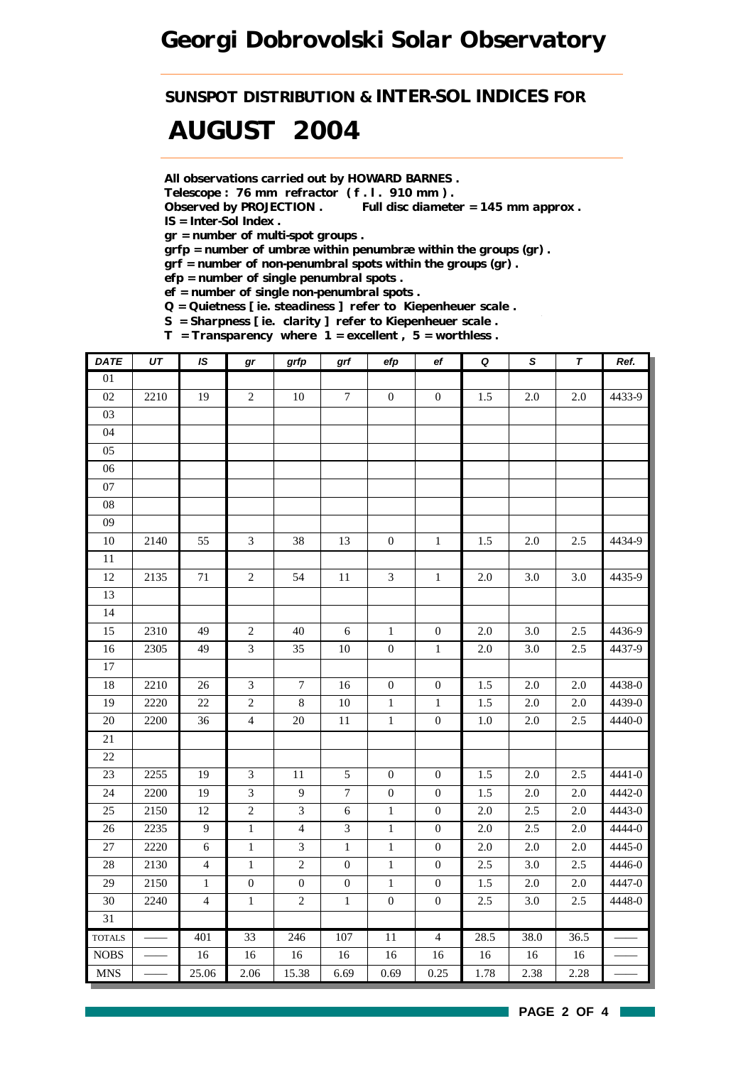### *Georgi Dobrovolski Solar Observatory*

*SUNSPOT DISTRIBUTION & INTER-SOL INDICES FOR*

# *AUGUST 2004*

*All observations carried out by HOWARD BARNES .*

*Telescope : 76 mm refractor ( f . l . 910 mm ) .*

*Observed by PROJECTION . Full disc diameter = 145 mm approx . IS = Inter-Sol Index .*

*gr = number of multi-spot groups .*

*grfp = number of umbræ within penumbræ within the groups (gr) .*

*grf = number of non-penumbral spots within the groups (gr) .*

*efp = number of single penumbral spots .*

*ef = number of single non-penumbral spots .*

*Q = Quietness [ ie. steadiness ] refer to Kiepenheuer scale .*

*S = Sharpness [ ie. clarity ] refer to Kiepenheuer scale . T = Transparency where 1 = excellent , 5 = worthless .*

| <b>DATE</b>                   | $\overline{UT}$ | IS             | gr               | grfp             | grf              | efp              | ef               | $\pmb Q$ | $\overline{s}$ | $\overline{\tau}$ | Ref.   |
|-------------------------------|-----------------|----------------|------------------|------------------|------------------|------------------|------------------|----------|----------------|-------------------|--------|
| $\overline{01}$               |                 |                |                  |                  |                  |                  |                  |          |                |                   |        |
| 02                            | 2210            | 19             | $\overline{c}$   | 10               | $\boldsymbol{7}$ | $\boldsymbol{0}$ | $\boldsymbol{0}$ | 1.5      | $2.0\,$        | $2.0\,$           | 4433-9 |
| 03                            |                 |                |                  |                  |                  |                  |                  |          |                |                   |        |
| 04                            |                 |                |                  |                  |                  |                  |                  |          |                |                   |        |
| 05                            |                 |                |                  |                  |                  |                  |                  |          |                |                   |        |
| 06                            |                 |                |                  |                  |                  |                  |                  |          |                |                   |        |
| $07\,$                        |                 |                |                  |                  |                  |                  |                  |          |                |                   |        |
| ${\bf 08}$                    |                 |                |                  |                  |                  |                  |                  |          |                |                   |        |
| 09                            |                 |                |                  |                  |                  |                  |                  |          |                |                   |        |
| $10\,$                        | 2140            | 55             | $\mathfrak{Z}$   | 38               | 13               | $\boldsymbol{0}$ | $1\,$            | 1.5      | 2.0            | 2.5               | 4434-9 |
| $\overline{11}$               |                 |                |                  |                  |                  |                  |                  |          |                |                   |        |
| 12                            | 2135            | $71\,$         | $\overline{c}$   | 54               | 11               | $\mathfrak{Z}$   | $\mathbf{1}$     | 2.0      | 3.0            | $3.0\,$           | 4435-9 |
| 13                            |                 |                |                  |                  |                  |                  |                  |          |                |                   |        |
| 14                            |                 |                |                  |                  |                  |                  |                  |          |                |                   |        |
| 15                            | 2310            | 49             | $\overline{c}$   | $40\,$           | $\sqrt{6}$       | $\,1\,$          | $\boldsymbol{0}$ | 2.0      | 3.0            | 2.5               | 4436-9 |
| 16                            | 2305            | 49             | $\overline{3}$   | 35               | $10\,$           | $\boldsymbol{0}$ | $\,1\,$          | $2.0\,$  | 3.0            | 2.5               | 4437-9 |
| 17                            |                 |                |                  |                  |                  |                  |                  |          |                |                   |        |
| 18                            | 2210            | 26             | $\mathfrak{Z}$   | $\boldsymbol{7}$ | 16               | $\boldsymbol{0}$ | $\mathbf{0}$     | 1.5      | 2.0            | $2.0\,$           | 4438-0 |
| 19                            | 2220            | 22             | $\overline{c}$   | $\,8\,$          | $10\,$           | $\,1\,$          | $\mathbf{1}$     | 1.5      | $2.0\,$        | $2.0\,$           | 4439-0 |
| 20                            | 2200            | 36             | $\overline{4}$   | $20\,$           | 11               | $\,1\,$          | $\boldsymbol{0}$ | $1.0\,$  | $2.0\,$        | 2.5               | 4440-0 |
| $21\,$                        |                 |                |                  |                  |                  |                  |                  |          |                |                   |        |
| 22                            |                 |                |                  |                  |                  |                  |                  |          |                |                   |        |
| 23                            | 2255            | 19             | $\mathfrak{Z}$   | $11\,$           | $\sqrt{5}$       | $\boldsymbol{0}$ | $\mathbf{0}$     | 1.5      | 2.0            | 2.5               | 4441-0 |
| 24                            | 2200            | 19             | $\mathfrak{Z}$   | $\boldsymbol{9}$ | $\boldsymbol{7}$ | $\boldsymbol{0}$ | $\mathbf{0}$     | 1.5      | $2.0\,$        | $2.0\,$           | 4442-0 |
| 25                            | 2150            | 12             | $\overline{c}$   | $\overline{3}$   | $\sqrt{6}$       | $\mathbf{1}$     | $\boldsymbol{0}$ | 2.0      | 2.5            | 2.0               | 4443-0 |
| 26                            | 2235            | $\overline{9}$ | $\,1$            | $\overline{4}$   | $\mathfrak{Z}$   | $\,1\,$          | $\boldsymbol{0}$ | $2.0\,$  | 2.5            | $2.0\,$           | 4444-0 |
| $27\,$                        | 2220            | $\sqrt{6}$     | $\,1\,$          | $\mathfrak{Z}$   | $\mathbf{1}$     | $\,1\,$          | $\mathbf{0}$     | 2.0      | 2.0            | $2.0\,$           | 4445-0 |
| 28                            | 2130            | $\overline{4}$ | $\,1$            | $\sqrt{2}$       | $\boldsymbol{0}$ | $\,1\,$          | $\boldsymbol{0}$ | 2.5      | $3.0\,$        | 2.5               | 4446-0 |
| 29                            | 2150            | $1\,$          | $\boldsymbol{0}$ | $\boldsymbol{0}$ | $\boldsymbol{0}$ | $\,1$            | $\boldsymbol{0}$ | 1.5      | $2.0\,$        | $2.0\,$           | 4447-0 |
| $30\,$                        | 2240            | $\overline{4}$ | $\,1$            | $\sqrt{2}$       | $\,1\,$          | $\boldsymbol{0}$ | $\boldsymbol{0}$ | 2.5      | 3.0            | 2.5               | 4448-0 |
| 31                            |                 |                |                  |                  |                  |                  |                  |          |                |                   |        |
| <b>TOTALS</b>                 |                 | 401            | 33               | 246              | 107              | $\overline{11}$  | $\overline{4}$   | 28.5     | 38.0           | 36.5              |        |
| <b>NOBS</b>                   |                 | 16             | 16               | 16               | 16               | 16               | 16               | 16       | 16             | $16\,$            |        |
| $\operatorname{\mathbf{MNS}}$ |                 | 25.06          | 2.06             | 15.38            | 6.69             | 0.69             | 0.25             | 1.78     | 2.38           | 2.28              |        |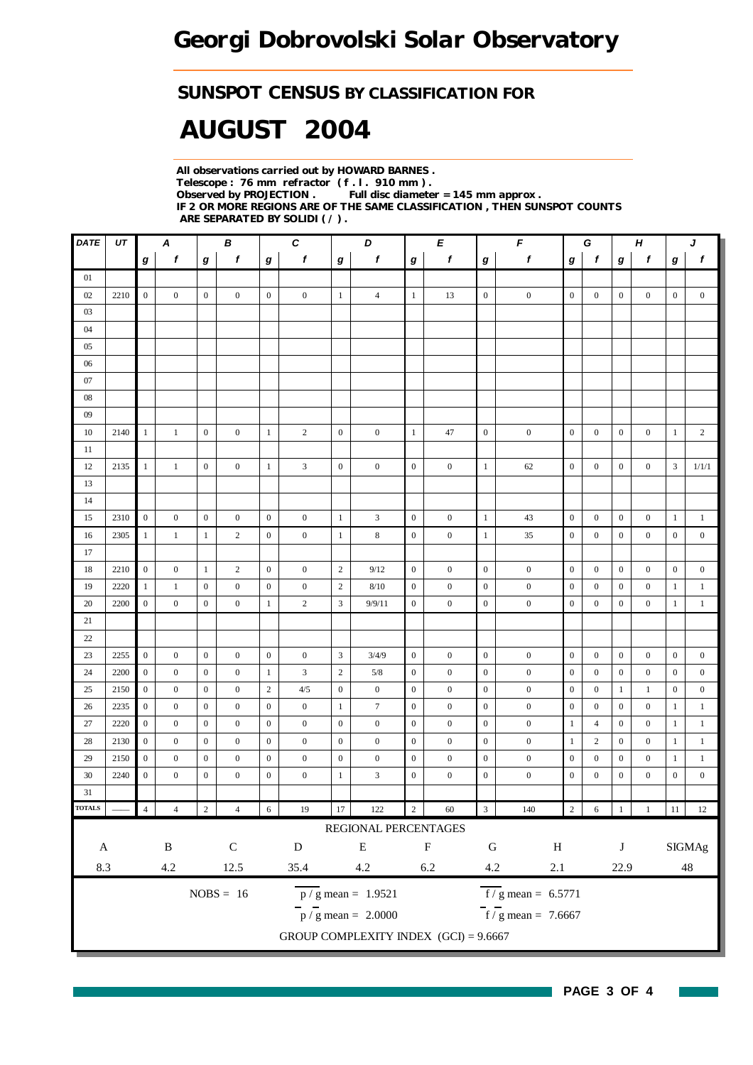#### *SUNSPOT CENSUS BY CLASSIFICATION FOR*

# *AUGUST 2004*

*All observations carried out by HOWARD BARNES . Telescope : 76 mm refractor ( f . l . 910 mm ) . Full disc diameter = 145 mm approx . IF 2 OR MORE REGIONS ARE OF THE SAME CLASSIFICATION , THEN SUNSPOT COUNTS ARE SEPARATED BY SOLIDI ( / ) .*

| $\mathit{DATE}$            | UT   |                  | A                |                  | В                |                  | $\pmb{C}$        |                  | D                                       |                  | E                         | F<br>$\pmb H$<br>G<br>J |                       |                  |                  |                  |                  |                  |                  |
|----------------------------|------|------------------|------------------|------------------|------------------|------------------|------------------|------------------|-----------------------------------------|------------------|---------------------------|-------------------------|-----------------------|------------------|------------------|------------------|------------------|------------------|------------------|
|                            |      | g                | $\boldsymbol{f}$ | g                | f                | g                | f                | g                | f                                       | g                | f                         | $\bm{g}$                | $\boldsymbol{f}$      | g                | f                | g                | f                | g                | $\boldsymbol{f}$ |
| 01                         |      |                  |                  |                  |                  |                  |                  |                  |                                         |                  |                           |                         |                       |                  |                  |                  |                  |                  |                  |
| 02                         | 2210 | $\overline{0}$   | $\overline{0}$   | $\mathbf{0}$     | $\mathbf{0}$     | $\overline{0}$   | $\mathbf{0}$     | $\mathbf{1}$     | $\overline{4}$                          | $\mathbf{1}$     | 13                        | $\mathbf{0}$            | $\boldsymbol{0}$      | $\boldsymbol{0}$ | $\overline{0}$   | $\boldsymbol{0}$ | $\mathbf{0}$     | $\boldsymbol{0}$ | $\boldsymbol{0}$ |
| 03                         |      |                  |                  |                  |                  |                  |                  |                  |                                         |                  |                           |                         |                       |                  |                  |                  |                  |                  |                  |
| 04                         |      |                  |                  |                  |                  |                  |                  |                  |                                         |                  |                           |                         |                       |                  |                  |                  |                  |                  |                  |
| 05                         |      |                  |                  |                  |                  |                  |                  |                  |                                         |                  |                           |                         |                       |                  |                  |                  |                  |                  |                  |
| 06                         |      |                  |                  |                  |                  |                  |                  |                  |                                         |                  |                           |                         |                       |                  |                  |                  |                  |                  |                  |
| 07                         |      |                  |                  |                  |                  |                  |                  |                  |                                         |                  |                           |                         |                       |                  |                  |                  |                  |                  |                  |
| 08                         |      |                  |                  |                  |                  |                  |                  |                  |                                         |                  |                           |                         |                       |                  |                  |                  |                  |                  |                  |
| 09                         |      |                  |                  |                  |                  |                  |                  |                  |                                         |                  |                           |                         |                       |                  |                  |                  |                  |                  |                  |
| 10                         | 2140 | $\mathbf{1}$     | $\mathbf{1}$     | $\mathbf{0}$     | $\mathbf{0}$     | $\mathbf{1}$     | $\overline{c}$   | $\boldsymbol{0}$ | $\boldsymbol{0}$                        | 1                | 47                        | $\boldsymbol{0}$        | $\boldsymbol{0}$      | $\boldsymbol{0}$ | $\overline{0}$   | $\boldsymbol{0}$ | $\boldsymbol{0}$ | $\mathbf{1}$     | $\overline{c}$   |
| 11                         |      | $\mathbf{1}$     |                  |                  |                  |                  |                  |                  |                                         | $\mathbf{0}$     |                           |                         |                       |                  |                  | $\mathbf{0}$     |                  | 3                |                  |
| 12<br>13                   | 2135 |                  | $\mathbf{1}$     | $\mathbf{0}$     | $\boldsymbol{0}$ | $\mathbf{1}$     | 3                | $\boldsymbol{0}$ | $\boldsymbol{0}$                        |                  | $\boldsymbol{0}$          | $\mathbf{1}$            | 62                    | $\boldsymbol{0}$ | $\boldsymbol{0}$ |                  | $\boldsymbol{0}$ |                  | 1/1/1            |
| 14                         |      |                  |                  |                  |                  |                  |                  |                  |                                         |                  |                           |                         |                       |                  |                  |                  |                  |                  |                  |
| 15                         | 2310 | $\mathbf{0}$     | $\boldsymbol{0}$ | $\mathbf{0}$     | $\boldsymbol{0}$ | $\boldsymbol{0}$ | $\boldsymbol{0}$ | $\mathbf{1}$     | $\mathfrak{Z}$                          | $\boldsymbol{0}$ | $\boldsymbol{0}$          | $\mathbf{1}$            | 43                    | $\mathbf{0}$     | $\overline{0}$   | $\boldsymbol{0}$ | $\boldsymbol{0}$ | $\mathbf{1}$     | $\mathbf{1}$     |
| 16                         | 2305 | $\mathbf{1}$     | $\mathbf{1}$     | $\mathbf{1}$     | $\sqrt{2}$       | $\mathbf{0}$     | $\boldsymbol{0}$ | $\mathbf{1}$     | $\,$ 8 $\,$                             | $\mathbf{0}$     | $\boldsymbol{0}$          | 1                       | 35                    | $\boldsymbol{0}$ | $\boldsymbol{0}$ | $\overline{0}$   | $\boldsymbol{0}$ | $\mathbf{0}$     | $\boldsymbol{0}$ |
| 17                         |      |                  |                  |                  |                  |                  |                  |                  |                                         |                  |                           |                         |                       |                  |                  |                  |                  |                  |                  |
| 18                         | 2210 | $\mathbf{0}$     | $\mathbf{0}$     | $\mathbf{1}$     | $\overline{c}$   | $\mathbf{0}$     | $\boldsymbol{0}$ | $\sqrt{2}$       | 9/12                                    | $\mathbf{0}$     | $\boldsymbol{0}$          | $\boldsymbol{0}$        | $\boldsymbol{0}$      | $\boldsymbol{0}$ | $\boldsymbol{0}$ | $\boldsymbol{0}$ | $\boldsymbol{0}$ | $\mathbf{0}$     | $\boldsymbol{0}$ |
| 19                         | 2220 | $\mathbf{1}$     | $\mathbf{1}$     | $\boldsymbol{0}$ | $\mathbf{0}$     | $\boldsymbol{0}$ | $\boldsymbol{0}$ | $\sqrt{2}$       | 8/10                                    | $\mathbf{0}$     | $\boldsymbol{0}$          | $\boldsymbol{0}$        | $\boldsymbol{0}$      | $\boldsymbol{0}$ | $\mathbf{0}$     | $\boldsymbol{0}$ | $\boldsymbol{0}$ | $\mathbf{1}$     | $\mathbf{1}$     |
| 20                         | 2200 | $\mathbf{0}$     | $\mathbf{0}$     | $\boldsymbol{0}$ | $\mathbf{0}$     | $\mathbf{1}$     | $\overline{c}$   | $\mathfrak{Z}$   | 9/9/11                                  | $\mathbf{0}$     | $\boldsymbol{0}$          | $\boldsymbol{0}$        | $\boldsymbol{0}$      | $\boldsymbol{0}$ | $\boldsymbol{0}$ | $\boldsymbol{0}$ | $\boldsymbol{0}$ | $\mathbf{1}$     | $\mathbf{1}$     |
| 21                         |      |                  |                  |                  |                  |                  |                  |                  |                                         |                  |                           |                         |                       |                  |                  |                  |                  |                  |                  |
| 22                         |      |                  |                  |                  |                  |                  |                  |                  |                                         |                  |                           |                         |                       |                  |                  |                  |                  |                  |                  |
| 23                         | 2255 | $\boldsymbol{0}$ | $\boldsymbol{0}$ | $\boldsymbol{0}$ | $\boldsymbol{0}$ | $\boldsymbol{0}$ | $\boldsymbol{0}$ | $\mathfrak{Z}$   | 3/4/9                                   | $\boldsymbol{0}$ | $\boldsymbol{0}$          | $\boldsymbol{0}$        | $\boldsymbol{0}$      | $\boldsymbol{0}$ | $\boldsymbol{0}$ | $\boldsymbol{0}$ | $\boldsymbol{0}$ | $\boldsymbol{0}$ | $\boldsymbol{0}$ |
| 24                         | 2200 | $\overline{0}$   | $\boldsymbol{0}$ | $\mathbf{0}$     | $\boldsymbol{0}$ | $\mathbf{1}$     | 3                | $\sqrt{2}$       | 5/8                                     | $\mathbf{0}$     | $\boldsymbol{0}$          | $\mathbf{0}$            | $\boldsymbol{0}$      | $\mathbf{0}$     | $\boldsymbol{0}$ | $\boldsymbol{0}$ | $\boldsymbol{0}$ | $\boldsymbol{0}$ | $\boldsymbol{0}$ |
| 25                         | 2150 | $\mathbf{0}$     | $\mathbf{0}$     | $\boldsymbol{0}$ | $\boldsymbol{0}$ | $\mathbf{2}$     | 4/5              | $\boldsymbol{0}$ | $\boldsymbol{0}$                        | $\mathbf{0}$     | $\boldsymbol{0}$          | $\boldsymbol{0}$        | $\boldsymbol{0}$      | $\boldsymbol{0}$ | $\boldsymbol{0}$ | 1                | $\mathbf{1}$     | $\boldsymbol{0}$ | $\boldsymbol{0}$ |
| 26                         | 2235 | $\boldsymbol{0}$ | $\mathbf{0}$     | $\mathbf{0}$     | $\mathbf{0}$     | $\mathbf{0}$     | $\mathbf{0}$     | $\mathbf{1}$     | $\boldsymbol{7}$                        | $\boldsymbol{0}$ | $\boldsymbol{0}$          | $\mathbf{0}$            | $\boldsymbol{0}$      | $\boldsymbol{0}$ | $\overline{0}$   | $\overline{0}$   | $\boldsymbol{0}$ | $\mathbf{1}$     | $\mathbf{1}$     |
| 27                         | 2220 | $\boldsymbol{0}$ | $\boldsymbol{0}$ | $\mathbf{0}$     | $\boldsymbol{0}$ | $\mathbf{0}$     | $\boldsymbol{0}$ | $\boldsymbol{0}$ | $\boldsymbol{0}$                        | $\mathbf{0}$     | $\boldsymbol{0}$          | $\mathbf{0}$            | $\boldsymbol{0}$      | -1               | $\overline{4}$   | $\boldsymbol{0}$ | $\boldsymbol{0}$ | -1               | $\mathbf{1}$     |
| 28                         | 2130 | $\mathbf{0}$     | $\boldsymbol{0}$ | $\boldsymbol{0}$ | $\mathbf{0}$     | $\mathbf{0}$     | $\mathbf{0}$     | $\boldsymbol{0}$ | $\boldsymbol{0}$                        | $\mathbf{0}$     | $\boldsymbol{0}$          | $\boldsymbol{0}$        | $\boldsymbol{0}$      | 1                | $\overline{c}$   | $\boldsymbol{0}$ | $\boldsymbol{0}$ | 1                | $\mathbf{1}$     |
| 29                         | 2150 | $\boldsymbol{0}$ | $\mathbf{0}$     | $\boldsymbol{0}$ | $\mathbf{0}$     | $\mathbf{0}$     | $\boldsymbol{0}$ | $\boldsymbol{0}$ | $\boldsymbol{0}$                        | $\boldsymbol{0}$ | $\boldsymbol{0}$          | $\boldsymbol{0}$        | $\boldsymbol{0}$      | $\mathbf{0}$     | $\boldsymbol{0}$ | $\boldsymbol{0}$ | $\boldsymbol{0}$ | $\mathbf{1}$     | $\mathbf{1}$     |
| 30                         | 2240 | $\boldsymbol{0}$ | $\boldsymbol{0}$ | $\boldsymbol{0}$ | $\mathbf{0}$     | $\mathbf{0}$     | $\mathbf{0}$     | $\mathbf{1}$     | $\mathfrak{Z}$                          | $\boldsymbol{0}$ | $\boldsymbol{0}$          | $\boldsymbol{0}$        | $\boldsymbol{0}$      | $\boldsymbol{0}$ | $\boldsymbol{0}$ | $\boldsymbol{0}$ | $\boldsymbol{0}$ | $\boldsymbol{0}$ | $\boldsymbol{0}$ |
| 31                         |      |                  |                  |                  |                  |                  |                  |                  |                                         |                  |                           |                         |                       |                  |                  |                  |                  |                  |                  |
| $\overline{\text{TOTALS}}$ |      | $\overline{4}$   | $\overline{4}$   | $\overline{c}$   | $\overline{4}$   | $\sqrt{6}$       | $19\,$           | $17\,$           | 122                                     | $\sqrt{2}$       | $60\,$                    | $\sqrt{3}$              | 140                   | $\sqrt{2}$       | $\sqrt{6}$       | $\mathbf{1}$     | $\,1\,$          | $11\,$           | 12               |
|                            |      |                  |                  |                  |                  |                  |                  |                  | REGIONAL PERCENTAGES                    |                  |                           |                         |                       |                  |                  |                  |                  |                  |                  |
| $\mathbf A$                |      |                  | $\, {\bf B}$     |                  | ${\bf C}$        |                  | ${\bf D}$        |                  | ${\bf E}$                               |                  | $\boldsymbol{\mathrm{F}}$ | ${\bf G}$               | $\, {\rm H}$          |                  |                  | J                |                  |                  | <b>SIGMAg</b>    |
| $8.3\,$                    |      |                  | $4.2\,$          |                  | 12.5             |                  | 35.4             |                  | $4.2\,$                                 |                  | $6.2\,$                   | 4.2                     | $2.1\,$               |                  |                  | 22.9             |                  |                  | $\sqrt{48}$      |
|                            |      |                  |                  |                  |                  |                  |                  |                  |                                         |                  |                           |                         |                       |                  |                  |                  |                  |                  |                  |
|                            |      |                  |                  |                  | $NOBS = 16$      |                  |                  |                  | $\overline{p}/g$ mean = 1.9521          |                  |                           |                         | $f/g$ mean = 6.5771   |                  |                  |                  |                  |                  |                  |
|                            |      |                  |                  |                  |                  |                  |                  |                  | $\bar{p}$ / g mean = 2.0000             |                  |                           |                         | $f / g$ mean = 7.6667 |                  |                  |                  |                  |                  |                  |
|                            |      |                  |                  |                  |                  |                  |                  |                  | GROUP COMPLEXITY INDEX $(GCI) = 9.6667$ |                  |                           |                         |                       |                  |                  |                  |                  |                  |                  |